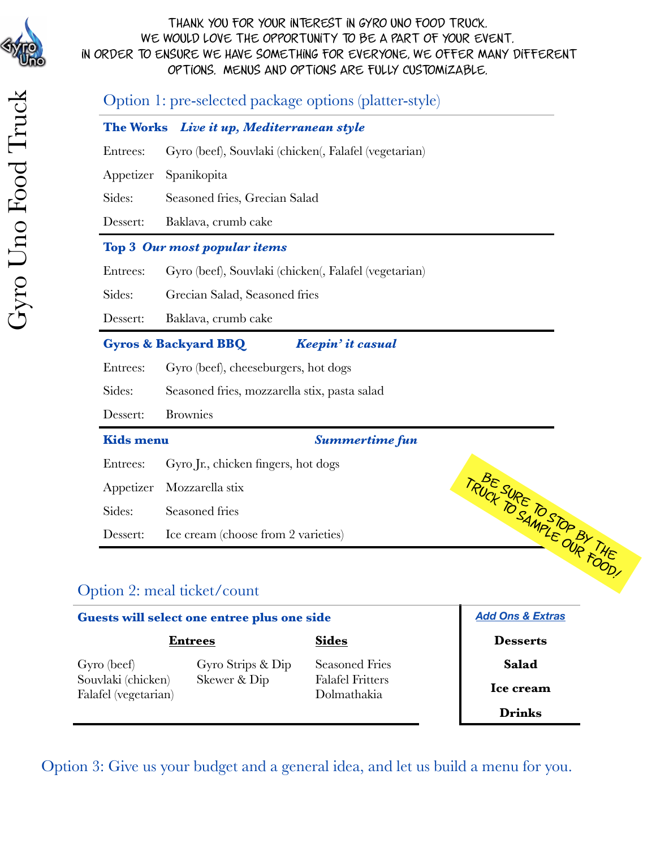

|                  | Option 1: pre-selected package options (platter-style) |  |  |  |  |  |
|------------------|--------------------------------------------------------|--|--|--|--|--|
|                  | The Works Live it up, Mediterranean style              |  |  |  |  |  |
| Entrees:         | Gyro (beef), Souvlaki (chicken(, Falafel (vegetarian)  |  |  |  |  |  |
| Appetizer        | Spanikopita                                            |  |  |  |  |  |
| Sides:           | Seasoned fries, Grecian Salad                          |  |  |  |  |  |
| Dessert:         | Baklava, crumb cake                                    |  |  |  |  |  |
|                  | <b>Top 3 Our most popular items</b>                    |  |  |  |  |  |
| Entrees:         | Gyro (beef), Souvlaki (chicken(, Falafel (vegetarian)  |  |  |  |  |  |
| Sides:           | Grecian Salad, Seasoned fries                          |  |  |  |  |  |
| Dessert:         | Baklava, crumb cake                                    |  |  |  |  |  |
|                  | <b>Gyros &amp; Backyard BBQ</b><br>Keepin' it casual   |  |  |  |  |  |
| Entrees:         | Gyro (beef), cheeseburgers, hot dogs                   |  |  |  |  |  |
| Sides:           | Seasoned fries, mozzarella stix, pasta salad           |  |  |  |  |  |
| Dessert:         | <b>Brownies</b>                                        |  |  |  |  |  |
| <b>Kids menu</b> | <b>Summertime fun</b>                                  |  |  |  |  |  |
| Entrees:         | Gyro Jr., chicken fingers, hot dogs                    |  |  |  |  |  |
| Appetizer        | Mozzarella stix                                        |  |  |  |  |  |
| Sides:           | Seasoned fries                                         |  |  |  |  |  |
| Dessert:         | Ice cream (choose from 2 varieties)                    |  |  |  |  |  |
|                  | TRUCK SURE TO STOP BY THE                              |  |  |  |  |  |

# Option 2: meal ticket/count

| Guests will select one entree plus one side | <b>Add Ons &amp; Extras</b> |                                        |                 |
|---------------------------------------------|-----------------------------|----------------------------------------|-----------------|
|                                             | <b>Entrees</b>              | <b>Sides</b>                           | <b>Desserts</b> |
| Gyro (beef)                                 | Gyro Strips & Dip           | <b>Seasoned Fries</b>                  | Salad           |
| Souvlaki (chicken)<br>Falafel (vegetarian)  | Skewer & Dip                | <b>Falafel Fritters</b><br>Dolmathakia | Ice cream       |
|                                             |                             |                                        | <b>Drinks</b>   |

Option 3: Give us your budget and a general idea, and let us build a menu for you.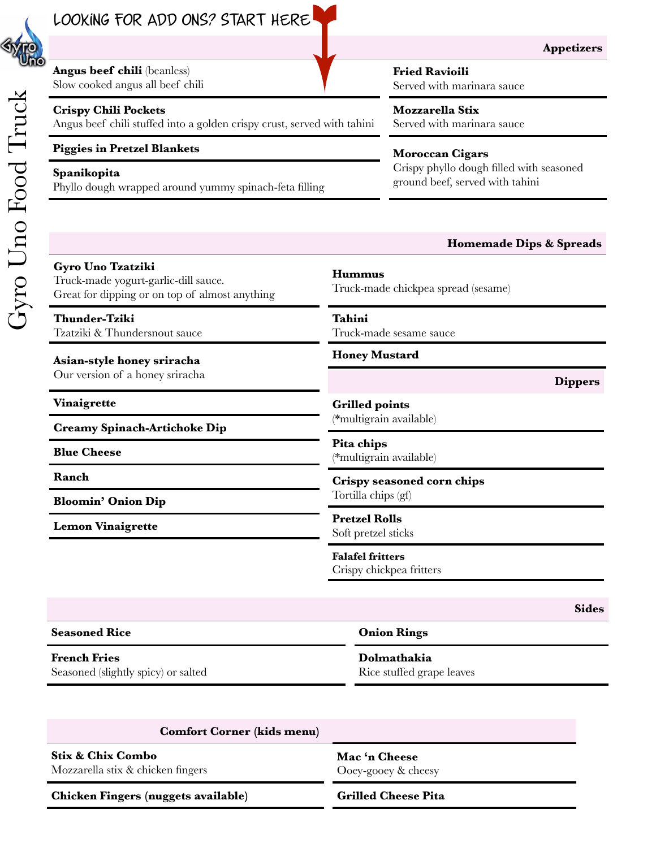

**Appetizers**

**Angus beef chili** (beanless) Slow cooked angus all beef chili

## **Crispy Chili Pockets**

Angus beef chili stuffed into a golden crispy crust, served with tahini

# **Piggies in Pretzel Blankets Moroccan Cigars**

ground beef, served with tahini **Spanikopita** Phyllo dough wrapped around yummy spinach-feta filling

**Fried Ravioili**

Served with marinara sauce

**Mozzarella Stix** Served with marinara sauce

Crispy phyllo dough filled with seasoned

#### **Sides Homemade Dips & Spreads Gyro Uno Tzatziki** Truck-made yogurt-garlic-dill sauce. Great for dipping or on top of almost anything **Hummus** Truck-made chickpea spread (sesame) **Thunder-Tziki** Tzatziki & Thundersnout sauce **Tahini** Truck-made sesame sauce **Asian-style honey sriracha** Our version of a honey sriracha **Honey Mustard Vinaigrette Creamy Spinach-Artichoke Dip Blue Cheese Ranch Bloomin' Onion Dip Lemon Vinaigrette Dippers Grilled points** (\*multigrain available) **Pita chips** (\*multigrain available) **Crispy seasoned corn chips** Tortilla chips (gf) **Pretzel Rolls** Soft pretzel sticks **Falafel fritters** Crispy chickpea fritters

**French Fries** Seasoned (slightly spicy) or salted **Dolmathakia** Rice stuffed grape leaves

**Comfort Corner (kids menu)**

**Seasoned Rice Onion Rings**

#### **Stix & Chix Combo** Mozzarella stix & chicken fingers

**Chicken Fingers (nuggets available) Grilled Cheese Pita**

**Mac 'n Cheese** Ooey-gooey & cheesy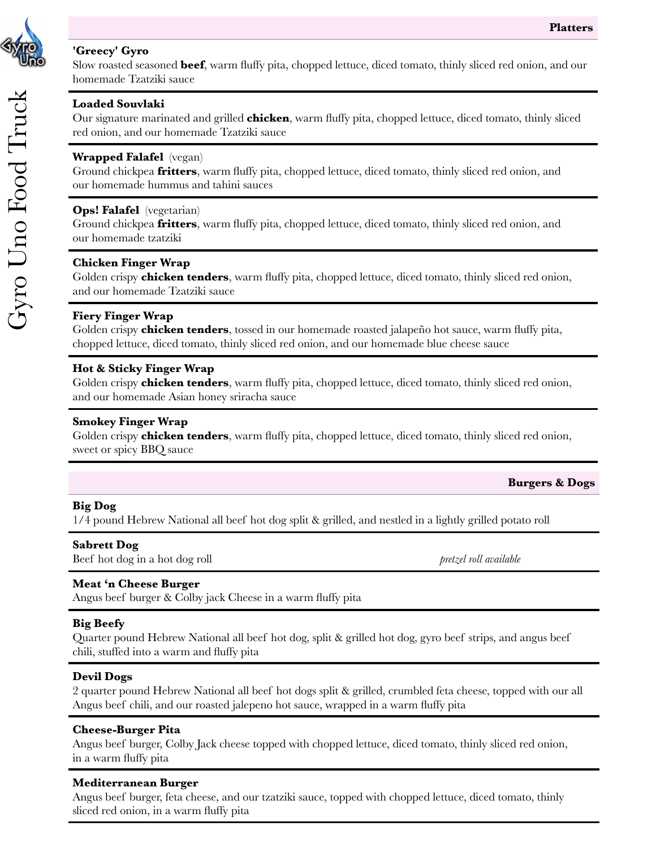#### **'Greecy' Gyro**

Slow roasted seasoned **beef**, warm fluffy pita, chopped lettuce, diced tomato, thinly sliced red onion, and our homemade Tzatziki sauce

### **Loaded Souvlaki**

Our signature marinated and grilled **chicken**, warm fluffy pita, chopped lettuce, diced tomato, thinly sliced red onion, and our homemade Tzatziki sauce

# **Wrapped Falafel** (vegan)

Ground chickpea **fritters**, warm fluffy pita, chopped lettuce, diced tomato, thinly sliced red onion, and our homemade hummus and tahini sauces

# **Ops! Falafel** (vegetarian)

Ground chickpea **fritters**, warm fluffy pita, chopped lettuce, diced tomato, thinly sliced red onion, and our homemade tzatziki

### **Chicken Finger Wrap**

Golden crispy **chicken tenders**, warm fluffy pita, chopped lettuce, diced tomato, thinly sliced red onion, and our homemade Tzatziki sauce

# **Fiery Finger Wrap**

Golden crispy **chicken tenders**, tossed in our homemade roasted jalapeño hot sauce, warm fluffy pita, chopped lettuce, diced tomato, thinly sliced red onion, and our homemade blue cheese sauce

### **Hot & Sticky Finger Wrap**

Golden crispy **chicken tenders**, warm fluffy pita, chopped lettuce, diced tomato, thinly sliced red onion, and our homemade Asian honey sriracha sauce

## **Smokey Finger Wrap**

Golden crispy **chicken tenders**, warm fluffy pita, chopped lettuce, diced tomato, thinly sliced red onion, sweet or spicy BBQ sauce

#### **Burgers & Dogs**

# **Big Dog**

1/4 pound Hebrew National all beef hot dog split & grilled, and nestled in a lightly grilled potato roll

#### **Sabrett Dog**

Beef hot dog in a hot dog roll **by a set of the set of the set of the set of the set of the set of the set of the set of the set of the set of the set of the set of the set of the set of the set of the set of the set of th** 

# **Meat 'n Cheese Burger**

Angus beef burger & Colby jack Cheese in a warm fluffy pita

# **Big Beefy**

Quarter pound Hebrew National all beef hot dog, split & grilled hot dog, gyro beef strips, and angus beef chili, stuffed into a warm and fluffy pita

#### **Devil Dogs**

2 quarter pound Hebrew National all beef hot dogs split & grilled, crumbled feta cheese, topped with our all Angus beef chili, and our roasted jalepeno hot sauce, wrapped in a warm fluffy pita

#### **Cheese-Burger Pita**

Angus beef burger, Colby Jack cheese topped with chopped lettuce, diced tomato, thinly sliced red onion, in a warm fluffy pita

#### **Mediterranean Burger**

Angus beef burger, feta cheese, and our tzatziki sauce, topped with chopped lettuce, diced tomato, thinly sliced red onion, in a warm fluffy pita